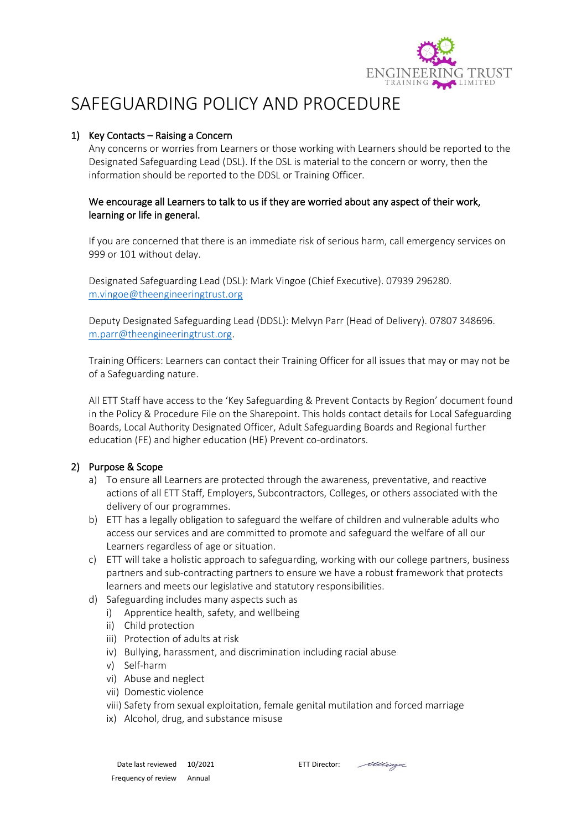

# SAFEGUARDING POLICY AND PROCEDURE

## 1) Key Contacts – Raising a Concern

Any concerns or worries from Learners or those working with Learners should be reported to the Designated Safeguarding Lead (DSL). If the DSL is material to the concern or worry, then the information should be reported to the DDSL or Training Officer.

### We encourage all Learners to talk to us if they are worried about any aspect of their work, learning or life in general.

If you are concerned that there is an immediate risk of serious harm, call emergency services on 999 or 101 without delay.

Designated Safeguarding Lead (DSL): Mark Vingoe (Chief Executive). 07939 296280. [m.vingoe@theengineeringtrust.org](mailto:m.vingoe@theengineeringtrust.org)

Deputy Designated Safeguarding Lead (DDSL): Melvyn Parr (Head of Delivery). 07807 348696. [m.parr@theengineeringtrust.org.](mailto:m.parr@theengineeringtrust.org)

Training Officers: Learners can contact their Training Officer for all issues that may or may not be of a Safeguarding nature.

All ETT Staff have access to the 'Key Safeguarding & Prevent Contacts by Region' document found in the Policy & Procedure File on the Sharepoint. This holds contact details for Local Safeguarding Boards, Local Authority Designated Officer, Adult Safeguarding Boards and Regional further education (FE) and higher education (HE) Prevent co-ordinators.

## 2) Purpose & Scope

- a) To ensure all Learners are protected through the awareness, preventative, and reactive actions of all ETT Staff, Employers, Subcontractors, Colleges, or others associated with the delivery of our programmes.
- b) ETT has a legally obligation to safeguard the welfare of children and vulnerable adults who access our services and are committed to promote and safeguard the welfare of all our Learners regardless of age or situation.
- c) ETT will take a holistic approach to safeguarding, working with our college partners, business partners and sub-contracting partners to ensure we have a robust framework that protects learners and meets our legislative and statutory responsibilities.
- d) Safeguarding includes many aspects such as
	- i) Apprentice health, safety, and wellbeing
	- ii) Child protection
	- iii) Protection of adults at risk
	- iv) Bullying, harassment, and discrimination including racial abuse
	- v) Self-harm
	- vi) Abuse and neglect
	- vii) Domestic violence
	- viii) Safety from sexual exploitation, female genital mutilation and forced marriage
	- ix) Alcohol, drug, and substance misuse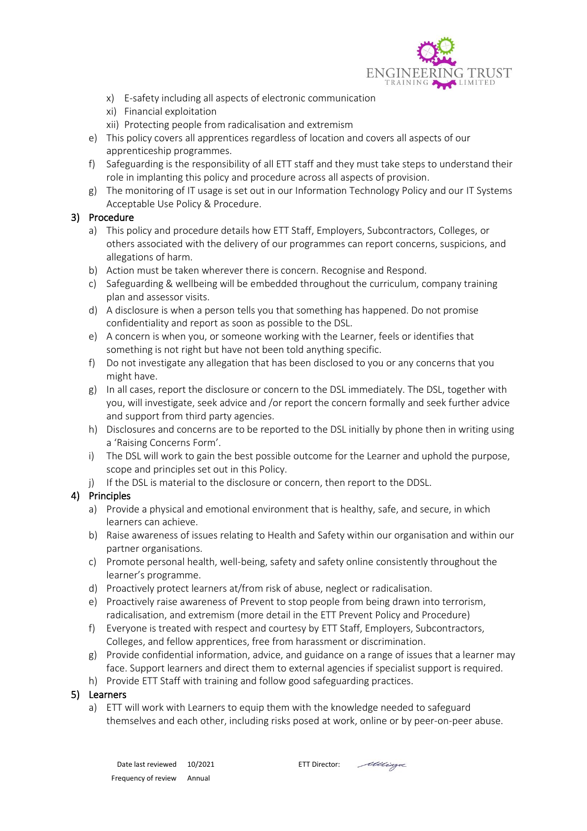

- x) E-safety including all aspects of electronic communication
- xi) Financial exploitation
- xii) Protecting people from radicalisation and extremism
- e) This policy covers all apprentices regardless of location and covers all aspects of our apprenticeship programmes.
- f) Safeguarding is the responsibility of all ETT staff and they must take steps to understand their role in implanting this policy and procedure across all aspects of provision.
- g) The monitoring of IT usage is set out in our Information Technology Policy and our IT Systems Acceptable Use Policy & Procedure.

## 3) Procedure

- a) This policy and procedure details how ETT Staff, Employers, Subcontractors, Colleges, or others associated with the delivery of our programmes can report concerns, suspicions, and allegations of harm.
- b) Action must be taken wherever there is concern. Recognise and Respond.
- c) Safeguarding & wellbeing will be embedded throughout the curriculum, company training plan and assessor visits.
- d) A disclosure is when a person tells you that something has happened. Do not promise confidentiality and report as soon as possible to the DSL.
- e) A concern is when you, or someone working with the Learner, feels or identifies that something is not right but have not been told anything specific.
- f) Do not investigate any allegation that has been disclosed to you or any concerns that you might have.
- g) In all cases, report the disclosure or concern to the DSL immediately. The DSL, together with you, will investigate, seek advice and /or report the concern formally and seek further advice and support from third party agencies.
- h) Disclosures and concerns are to be reported to the DSL initially by phone then in writing using a 'Raising Concerns Form'.
- i) The DSL will work to gain the best possible outcome for the Learner and uphold the purpose, scope and principles set out in this Policy.
- j) If the DSL is material to the disclosure or concern, then report to the DDSL.

## 4) Principles

- a) Provide a physical and emotional environment that is healthy, safe, and secure, in which learners can achieve.
- b) Raise awareness of issues relating to Health and Safety within our organisation and within our partner organisations.
- c) Promote personal health, well-being, safety and safety online consistently throughout the learner's programme.
- d) Proactively protect learners at/from risk of abuse, neglect or radicalisation.
- e) Proactively raise awareness of Prevent to stop people from being drawn into terrorism, radicalisation, and extremism (more detail in the ETT Prevent Policy and Procedure)
- f) Everyone is treated with respect and courtesy by ETT Staff, Employers, Subcontractors, Colleges, and fellow apprentices, free from harassment or discrimination.
- g) Provide confidential information, advice, and guidance on a range of issues that a learner may face. Support learners and direct them to external agencies if specialist support is required.
- h) Provide ETT Staff with training and follow good safeguarding practices.

#### 5) Learners

a) ETT will work with Learners to equip them with the knowledge needed to safeguard themselves and each other, including risks posed at work, online or by peer-on-peer abuse.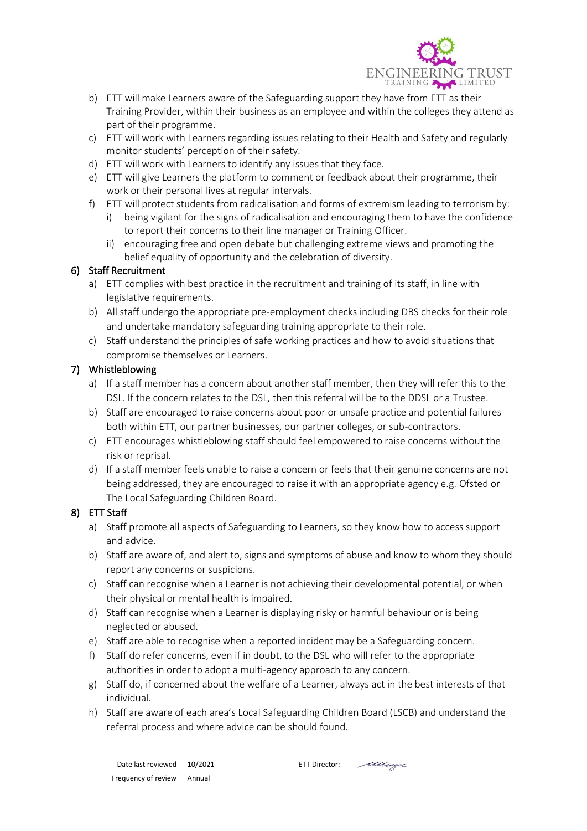

- b) ETT will make Learners aware of the Safeguarding support they have from ETT as their Training Provider, within their business as an employee and within the colleges they attend as part of their programme.
- c) ETT will work with Learners regarding issues relating to their Health and Safety and regularly monitor students' perception of their safety.
- d) ETT will work with Learners to identify any issues that they face.
- e) ETT will give Learners the platform to comment or feedback about their programme, their work or their personal lives at regular intervals.
- f) ETT will protect students from radicalisation and forms of extremism leading to terrorism by:
	- i) being vigilant for the signs of radicalisation and encouraging them to have the confidence to report their concerns to their line manager or Training Officer.
	- ii) encouraging free and open debate but challenging extreme views and promoting the belief equality of opportunity and the celebration of diversity.

#### 6) Staff Recruitment

- a) ETT complies with best practice in the recruitment and training of its staff, in line with legislative requirements.
- b) All staff undergo the appropriate pre-employment checks including DBS checks for their role and undertake mandatory safeguarding training appropriate to their role.
- c) Staff understand the principles of safe working practices and how to avoid situations that compromise themselves or Learners.

## 7) Whistleblowing

- a) If a staff member has a concern about another staff member, then they will refer this to the DSL. If the concern relates to the DSL, then this referral will be to the DDSL or a Trustee.
- b) Staff are encouraged to raise concerns about poor or unsafe practice and potential failures both within ETT, our partner businesses, our partner colleges, or sub-contractors.
- c) ETT encourages whistleblowing staff should feel empowered to raise concerns without the risk or reprisal.
- d) If a staff member feels unable to raise a concern or feels that their genuine concerns are not being addressed, they are encouraged to raise it with an appropriate agency e.g. Ofsted or The Local Safeguarding Children Board.

## 8) ETT Staff

- a) Staff promote all aspects of Safeguarding to Learners, so they know how to access support and advice.
- b) Staff are aware of, and alert to, signs and symptoms of abuse and know to whom they should report any concerns or suspicions.
- c) Staff can recognise when a Learner is not achieving their developmental potential, or when their physical or mental health is impaired.
- d) Staff can recognise when a Learner is displaying risky or harmful behaviour or is being neglected or abused.
- e) Staff are able to recognise when a reported incident may be a Safeguarding concern.
- f) Staff do refer concerns, even if in doubt, to the DSL who will refer to the appropriate authorities in order to adopt a multi-agency approach to any concern.
- g) Staff do, if concerned about the welfare of a Learner, always act in the best interests of that individual.
- h) Staff are aware of each area's Local Safeguarding Children Board (LSCB) and understand the referral process and where advice can be should found.

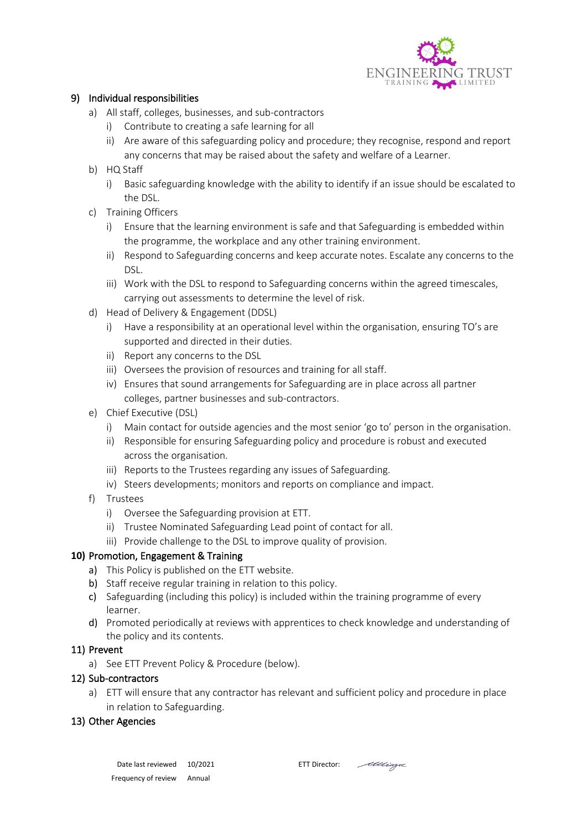

## 9) Individual responsibilities

- a) All staff, colleges, businesses, and sub-contractors
	- i) Contribute to creating a safe learning for all
	- ii) Are aware of this safeguarding policy and procedure; they recognise, respond and report any concerns that may be raised about the safety and welfare of a Learner.
- b) HQ Staff
	- i) Basic safeguarding knowledge with the ability to identify if an issue should be escalated to the DSL.
- c) Training Officers
	- i) Ensure that the learning environment is safe and that Safeguarding is embedded within the programme, the workplace and any other training environment.
	- ii) Respond to Safeguarding concerns and keep accurate notes. Escalate any concerns to the DSL.
	- iii) Work with the DSL to respond to Safeguarding concerns within the agreed timescales, carrying out assessments to determine the level of risk.
- d) Head of Delivery & Engagement (DDSL)
	- i) Have a responsibility at an operational level within the organisation, ensuring TO's are supported and directed in their duties.
	- ii) Report any concerns to the DSL
	- iii) Oversees the provision of resources and training for all staff.
	- iv) Ensures that sound arrangements for Safeguarding are in place across all partner colleges, partner businesses and sub-contractors.
- e) Chief Executive (DSL)
	- i) Main contact for outside agencies and the most senior 'go to' person in the organisation.
	- ii) Responsible for ensuring Safeguarding policy and procedure is robust and executed across the organisation.
	- iii) Reports to the Trustees regarding any issues of Safeguarding.
	- iv) Steers developments; monitors and reports on compliance and impact.
- f) Trustees
	- i) Oversee the Safeguarding provision at ETT.
	- ii) Trustee Nominated Safeguarding Lead point of contact for all.
	- iii) Provide challenge to the DSL to improve quality of provision.

# **10)** Promotion, Engagement & Training

- a) This Policy is published on the ETT website.
- b) Staff receive regular training in relation to this policy.
- c) Safeguarding (including this policy) is included within the training programme of every learner.
- d) Promoted periodically at reviews with apprentices to check knowledge and understanding of the policy and its contents.

## 11) Prevent

a) See ETT Prevent Policy & Procedure (below).

# 12) Sub-contractors

a) ETT will ensure that any contractor has relevant and sufficient policy and procedure in place in relation to Safeguarding.

# 13) Other Agencies

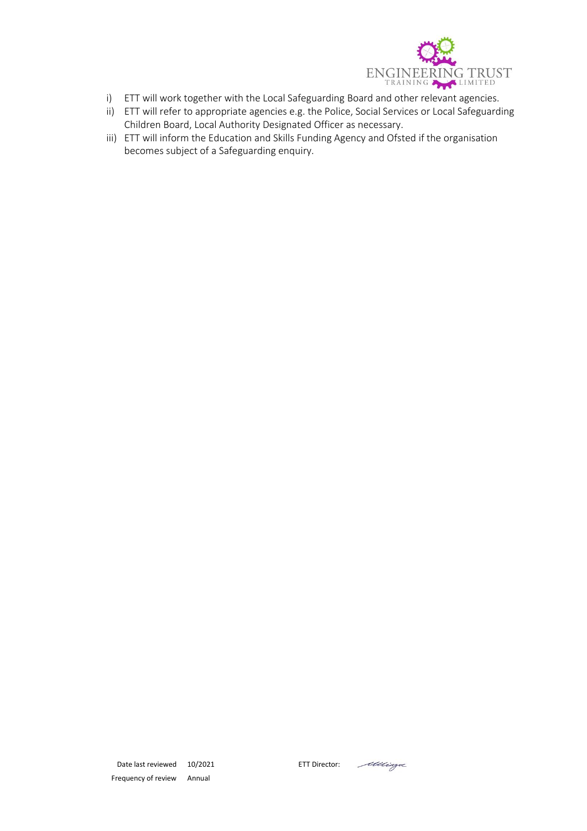

- i) ETT will work together with the Local Safeguarding Board and other relevant agencies.
- ii) ETT will refer to appropriate agencies e.g. the Police, Social Services or Local Safeguarding Children Board, Local Authority Designated Officer as necessary.
- iii) ETT will inform the Education and Skills Funding Agency and Ofsted if the organisation becomes subject of a Safeguarding enquiry.

Mingo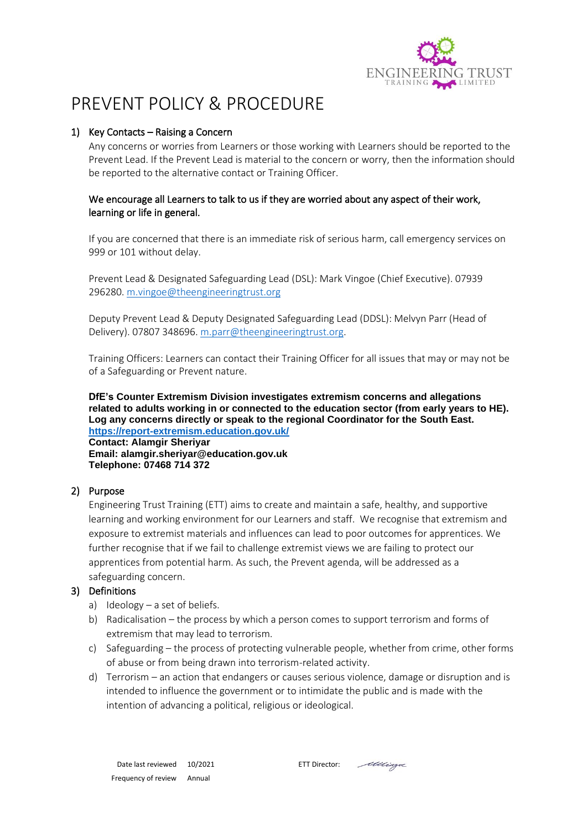

# PREVENT POLICY & PROCEDURE

## 1) Key Contacts – Raising a Concern

Any concerns or worries from Learners or those working with Learners should be reported to the Prevent Lead. If the Prevent Lead is material to the concern or worry, then the information should be reported to the alternative contact or Training Officer.

## We encourage all Learners to talk to us if they are worried about any aspect of their work, learning or life in general.

If you are concerned that there is an immediate risk of serious harm, call emergency services on 999 or 101 without delay.

Prevent Lead & Designated Safeguarding Lead (DSL): Mark Vingoe (Chief Executive). 07939 296280[. m.vingoe@theengineeringtrust.org](mailto:m.vingoe@theengineeringtrust.org)

Deputy Prevent Lead & Deputy Designated Safeguarding Lead (DDSL): Melvyn Parr (Head of Delivery). 07807 348696. [m.parr@theengineeringtrust.org.](mailto:m.parr@theengineeringtrust.org)

Training Officers: Learners can contact their Training Officer for all issues that may or may not be of a Safeguarding or Prevent nature.

**DfE's Counter Extremism Division investigates extremism concerns and allegations related to adults working in or connected to the education sector (from early years to HE). Log any concerns directly or speak to the regional Coordinator for the South East. <https://report-extremism.education.gov.uk/>**

**Contact: Alamgir Sheriyar Email: alamgir.sheriyar@education.gov.uk Telephone: 07468 714 372**

## 2) Purpose

Engineering Trust Training (ETT) aims to create and maintain a safe, healthy, and supportive learning and working environment for our Learners and staff. We recognise that extremism and exposure to extremist materials and influences can lead to poor outcomes for apprentices. We further recognise that if we fail to challenge extremist views we are failing to protect our apprentices from potential harm. As such, the Prevent agenda, will be addressed as a safeguarding concern.

## 3) Definitions

- a) Ideology  $-$  a set of beliefs.
- b) Radicalisation the process by which a person comes to support terrorism and forms of extremism that may lead to terrorism.
- c) Safeguarding the process of protecting vulnerable people, whether from crime, other forms of abuse or from being drawn into terrorism-related activity.
- d) Terrorism an action that endangers or causes serious violence, damage or disruption and is intended to influence the government or to intimidate the public and is made with the intention of advancing a political, religious or ideological.

Mingoe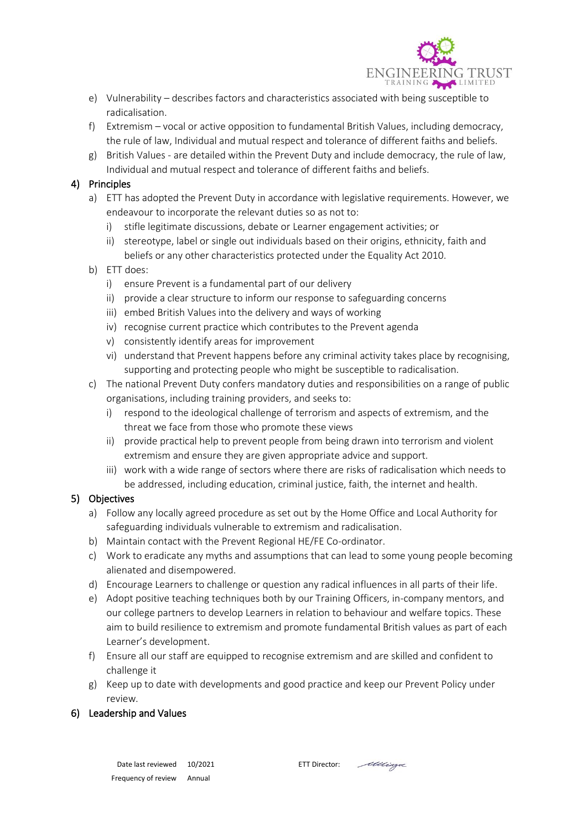

- e) Vulnerability describes factors and characteristics associated with being susceptible to radicalisation.
- f) Extremism vocal or active opposition to fundamental British Values, including democracy, the rule of law, Individual and mutual respect and tolerance of different faiths and beliefs.
- g) British Values are detailed within the Prevent Duty and include democracy, the rule of law, Individual and mutual respect and tolerance of different faiths and beliefs.

### 4) Principles

- a) ETT has adopted the Prevent Duty in accordance with legislative requirements. However, we endeavour to incorporate the relevant duties so as not to:
	- i) stifle legitimate discussions, debate or Learner engagement activities; or
	- ii) stereotype, label or single out individuals based on their origins, ethnicity, faith and beliefs or any other characteristics protected under the Equality Act 2010.
- b) ETT does:
	- i) ensure Prevent is a fundamental part of our delivery
	- ii) provide a clear structure to inform our response to safeguarding concerns
	- iii) embed British Values into the delivery and ways of working
	- iv) recognise current practice which contributes to the Prevent agenda
	- v) consistently identify areas for improvement
	- vi) understand that Prevent happens before any criminal activity takes place by recognising, supporting and protecting people who might be susceptible to radicalisation.
- c) The national Prevent Duty confers mandatory duties and responsibilities on a range of public organisations, including training providers, and seeks to:
	- i) respond to the ideological challenge of terrorism and aspects of extremism, and the threat we face from those who promote these views
	- ii) provide practical help to prevent people from being drawn into terrorism and violent extremism and ensure they are given appropriate advice and support.
	- iii) work with a wide range of sectors where there are risks of radicalisation which needs to be addressed, including education, criminal justice, faith, the internet and health.

#### 5) Objectives

- a) Follow any locally agreed procedure as set out by the Home Office and Local Authority for safeguarding individuals vulnerable to extremism and radicalisation.
- b) Maintain contact with the Prevent Regional HE/FE Co-ordinator.
- c) Work to eradicate any myths and assumptions that can lead to some young people becoming alienated and disempowered.
- d) Encourage Learners to challenge or question any radical influences in all parts of their life.
- e) Adopt positive teaching techniques both by our Training Officers, in-company mentors, and our college partners to develop Learners in relation to behaviour and welfare topics. These aim to build resilience to extremism and promote fundamental British values as part of each Learner's development.
- f) Ensure all our staff are equipped to recognise extremism and are skilled and confident to challenge it
- g) Keep up to date with developments and good practice and keep our Prevent Policy under review.

#### 6) Leadership and Values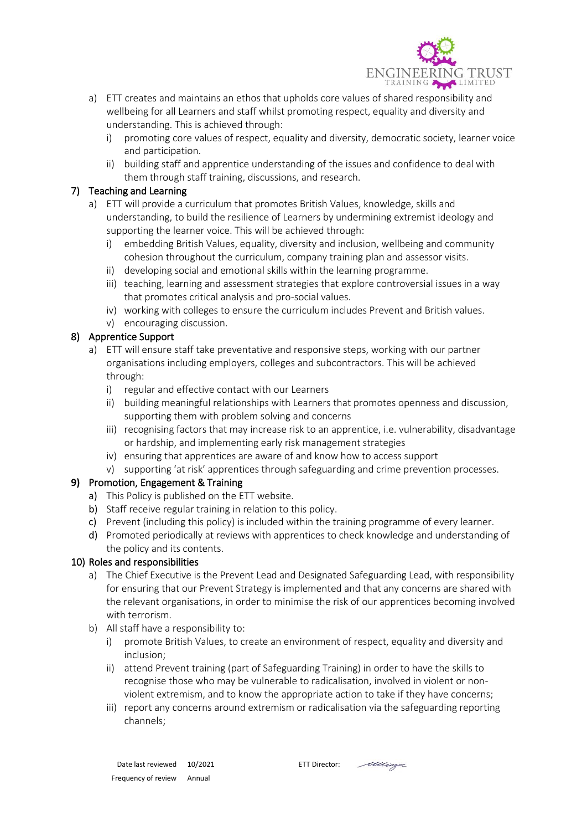

- a) ETT creates and maintains an ethos that upholds core values of shared responsibility and wellbeing for all Learners and staff whilst promoting respect, equality and diversity and understanding. This is achieved through:
	- i) promoting core values of respect, equality and diversity, democratic society, learner voice and participation.
	- ii) building staff and apprentice understanding of the issues and confidence to deal with them through staff training, discussions, and research.

## 7) Teaching and Learning

- a) ETT will provide a curriculum that promotes British Values, knowledge, skills and understanding, to build the resilience of Learners by undermining extremist ideology and supporting the learner voice. This will be achieved through:
	- i) embedding British Values, equality, diversity and inclusion, wellbeing and community cohesion throughout the curriculum, company training plan and assessor visits.
	- ii) developing social and emotional skills within the learning programme.
	- iii) teaching, learning and assessment strategies that explore controversial issues in a way that promotes critical analysis and pro-social values.
	- iv) working with colleges to ensure the curriculum includes Prevent and British values.
	- v) encouraging discussion.

## 8) Apprentice Support

- a) ETT will ensure staff take preventative and responsive steps, working with our partner organisations including employers, colleges and subcontractors. This will be achieved through:
	- i) regular and effective contact with our Learners
	- ii) building meaningful relationships with Learners that promotes openness and discussion, supporting them with problem solving and concerns
	- iii) recognising factors that may increase risk to an apprentice, i.e. vulnerability, disadvantage or hardship, and implementing early risk management strategies
	- iv) ensuring that apprentices are aware of and know how to access support
	- v) supporting 'at risk' apprentices through safeguarding and crime prevention processes.

## **9)** Promotion, Engagement & Training

- a) This Policy is published on the ETT website.
- b) Staff receive regular training in relation to this policy.
- c) Prevent (including this policy) is included within the training programme of every learner.
- d) Promoted periodically at reviews with apprentices to check knowledge and understanding of the policy and its contents.

## 10) Roles and responsibilities

- a) The Chief Executive is the Prevent Lead and Designated Safeguarding Lead, with responsibility for ensuring that our Prevent Strategy is implemented and that any concerns are shared with the relevant organisations, in order to minimise the risk of our apprentices becoming involved with terrorism.
- b) All staff have a responsibility to:
	- i) promote British Values, to create an environment of respect, equality and diversity and inclusion;
	- ii) attend Prevent training (part of Safeguarding Training) in order to have the skills to recognise those who may be vulnerable to radicalisation, involved in violent or nonviolent extremism, and to know the appropriate action to take if they have concerns;
	- iii) report any concerns around extremism or radicalisation via the safeguarding reporting channels;